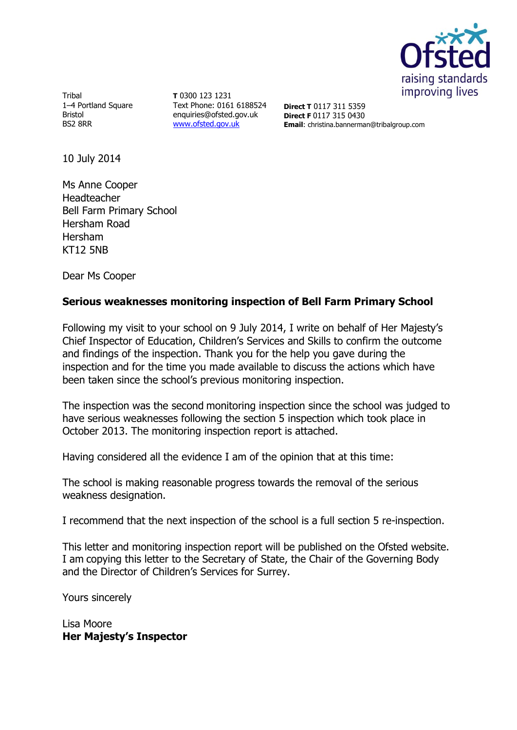

**Tribal** 1-4 Portland Square Bristol BS2 8RR

**T** 0300 123 1231 Text Phone: 0161 6188524 enquiries@ofsted.gov.uk [www.ofsted.gov.uk](http://www.ofsted.gov.uk/)

**Direct T** 0117 311 5359 **Direct F** 0117 315 0430 **Email**: christina.bannerman@tribalgroup.com

10 July 2014

Ms Anne Cooper Headteacher Bell Farm Primary School Hersham Road Hersham KT12 5NB

Dear Ms Cooper

### **Serious weaknesses monitoring inspection of Bell Farm Primary School**

Following my visit to your school on 9 July 2014, I write on behalf of Her Majesty's Chief Inspector of Education, Children's Services and Skills to confirm the outcome and findings of the inspection. Thank you for the help you gave during the inspection and for the time you made available to discuss the actions which have been taken since the school's previous monitoring inspection.

The inspection was the second monitoring inspection since the school was judged to have serious weaknesses following the section 5 inspection which took place in October 2013. The monitoring inspection report is attached.

Having considered all the evidence I am of the opinion that at this time:

The school is making reasonable progress towards the removal of the serious weakness designation.

I recommend that the next inspection of the school is a full section 5 re-inspection.

This letter and monitoring inspection report will be published on the Ofsted website. I am copying this letter to the Secretary of State, the Chair of the Governing Body and the Director of Children's Services for Surrey.

Yours sincerely

Lisa Moore **Her Majesty's Inspector**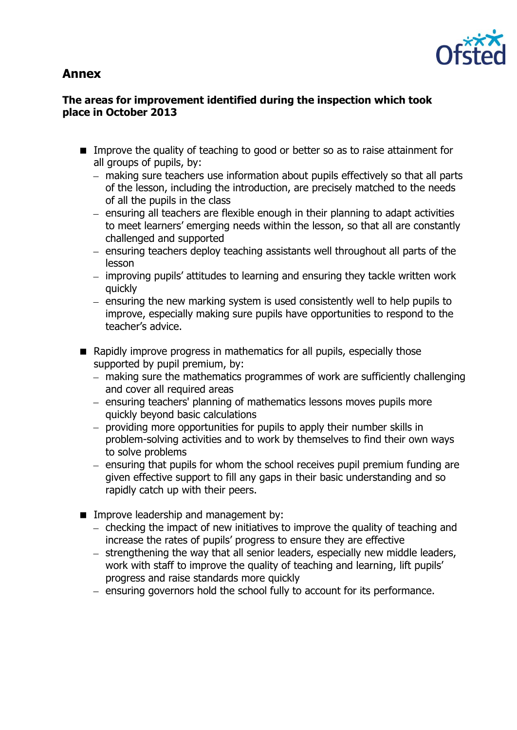# **Annex**



### **The areas for improvement identified during the inspection which took place in October 2013**

- Improve the quality of teaching to good or better so as to raise attainment for all groups of pupils, by:
	- making sure teachers use information about pupils effectively so that all parts of the lesson, including the introduction, are precisely matched to the needs of all the pupils in the class
	- $-$  ensuring all teachers are flexible enough in their planning to adapt activities to meet learners' emerging needs within the lesson, so that all are constantly challenged and supported
	- ensuring teachers deploy teaching assistants well throughout all parts of the lesson
	- improving pupils' attitudes to learning and ensuring they tackle written work quickly
	- ensuring the new marking system is used consistently well to help pupils to improve, especially making sure pupils have opportunities to respond to the teacher's advice.
- Rapidly improve progress in mathematics for all pupils, especially those supported by pupil premium, by:
	- making sure the mathematics programmes of work are sufficiently challenging and cover all required areas
	- ensuring teachers' planning of mathematics lessons moves pupils more quickly beyond basic calculations
	- providing more opportunities for pupils to apply their number skills in problem-solving activities and to work by themselves to find their own ways to solve problems
	- $-$  ensuring that pupils for whom the school receives pupil premium funding are given effective support to fill any gaps in their basic understanding and so rapidly catch up with their peers.
- **IMPROPED EXAMPLE A** Improve leadership and management by:
	- $-$  checking the impact of new initiatives to improve the quality of teaching and increase the rates of pupils' progress to ensure they are effective
	- strengthening the way that all senior leaders, especially new middle leaders, work with staff to improve the quality of teaching and learning, lift pupils' progress and raise standards more quickly
	- ensuring governors hold the school fully to account for its performance.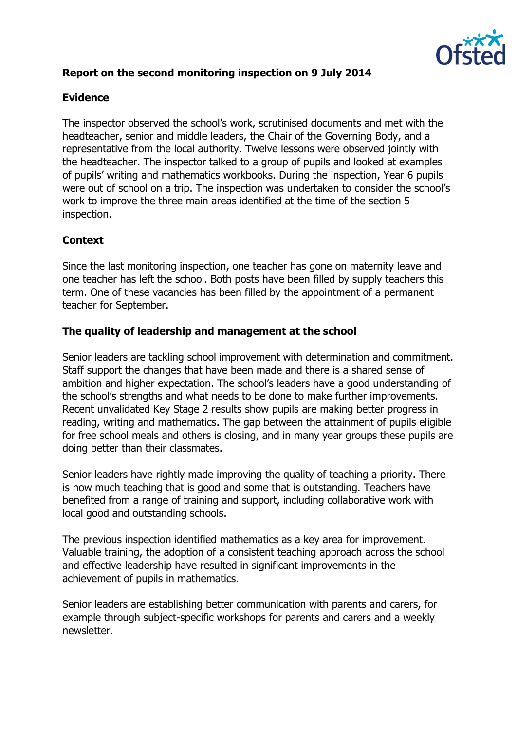

## **Report on the second monitoring inspection on 9 July 2014**

## **Evidence**

The inspector observed the school's work, scrutinised documents and met with the headteacher, senior and middle leaders, the Chair of the Governing Body, and a representative from the local authority. Twelve lessons were observed jointly with the headteacher. The inspector talked to a group of pupils and looked at examples of pupils' writing and mathematics workbooks. During the inspection, Year 6 pupils were out of school on a trip. The inspection was undertaken to consider the school's work to improve the three main areas identified at the time of the section 5 inspection.

### **Context**

Since the last monitoring inspection, one teacher has gone on maternity leave and one teacher has left the school. Both posts have been filled by supply teachers this term. One of these vacancies has been filled by the appointment of a permanent teacher for September.

### **The quality of leadership and management at the school**

Senior leaders are tackling school improvement with determination and commitment. Staff support the changes that have been made and there is a shared sense of ambition and higher expectation. The school's leaders have a good understanding of the school's strengths and what needs to be done to make further improvements. Recent unvalidated Key Stage 2 results show pupils are making better progress in reading, writing and mathematics. The gap between the attainment of pupils eligible for free school meals and others is closing, and in many year groups these pupils are doing better than their classmates.

Senior leaders have rightly made improving the quality of teaching a priority. There is now much teaching that is good and some that is outstanding. Teachers have benefited from a range of training and support, including collaborative work with local good and outstanding schools.

The previous inspection identified mathematics as a key area for improvement. Valuable training, the adoption of a consistent teaching approach across the school and effective leadership have resulted in significant improvements in the achievement of pupils in mathematics.

Senior leaders are establishing better communication with parents and carers, for example through subject-specific workshops for parents and carers and a weekly newsletter.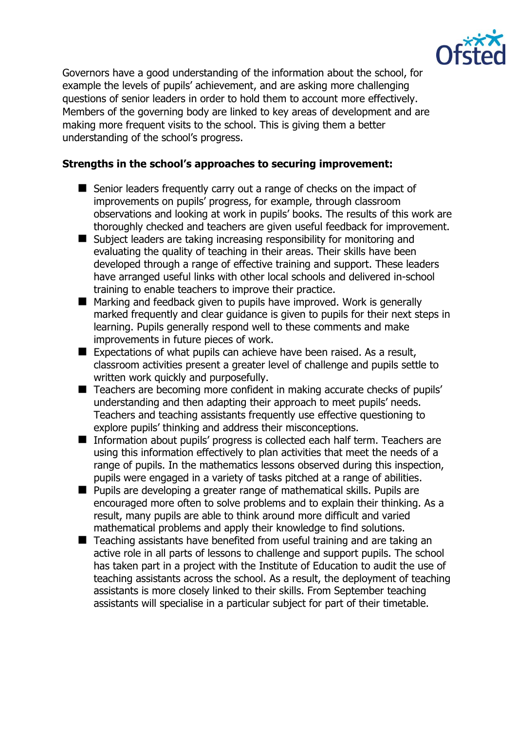

Governors have a good understanding of the information about the school, for example the levels of pupils' achievement, and are asking more challenging questions of senior leaders in order to hold them to account more effectively. Members of the governing body are linked to key areas of development and are making more frequent visits to the school. This is giving them a better understanding of the school's progress.

#### **Strengths in the school's approaches to securing improvement:**

- Senior leaders frequently carry out a range of checks on the impact of improvements on pupils' progress, for example, through classroom observations and looking at work in pupils' books. The results of this work are thoroughly checked and teachers are given useful feedback for improvement.
- Subject leaders are taking increasing responsibility for monitoring and evaluating the quality of teaching in their areas. Their skills have been developed through a range of effective training and support. These leaders have arranged useful links with other local schools and delivered in-school training to enable teachers to improve their practice.
- Marking and feedback given to pupils have improved. Work is generally marked frequently and clear guidance is given to pupils for their next steps in learning. Pupils generally respond well to these comments and make improvements in future pieces of work.
- $\blacksquare$  Expectations of what pupils can achieve have been raised. As a result, classroom activities present a greater level of challenge and pupils settle to written work quickly and purposefully.
- Teachers are becoming more confident in making accurate checks of pupils' understanding and then adapting their approach to meet pupils' needs. Teachers and teaching assistants frequently use effective questioning to explore pupils' thinking and address their misconceptions.
- Information about pupils' progress is collected each half term. Teachers are using this information effectively to plan activities that meet the needs of a range of pupils. In the mathematics lessons observed during this inspection, pupils were engaged in a variety of tasks pitched at a range of abilities.
- Pupils are developing a greater range of mathematical skills. Pupils are encouraged more often to solve problems and to explain their thinking. As a result, many pupils are able to think around more difficult and varied mathematical problems and apply their knowledge to find solutions.
- Teaching assistants have benefited from useful training and are taking an active role in all parts of lessons to challenge and support pupils. The school has taken part in a project with the Institute of Education to audit the use of teaching assistants across the school. As a result, the deployment of teaching assistants is more closely linked to their skills. From September teaching assistants will specialise in a particular subject for part of their timetable.